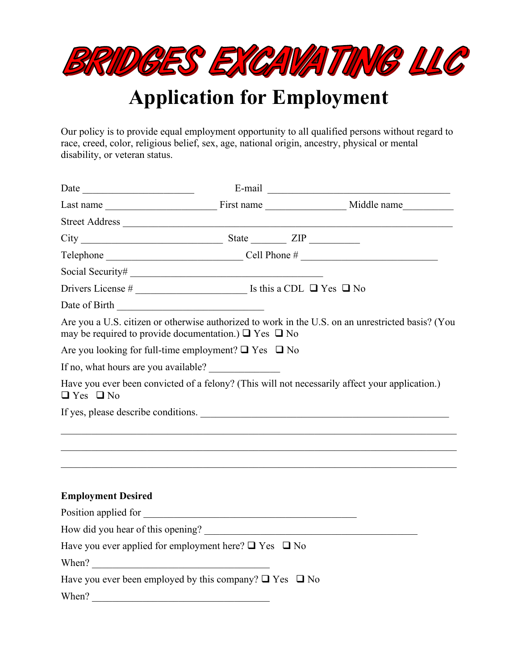

## **Application for Employment**

Our policy is to provide equal employment opportunity to all qualified persons without regard to race, creed, color, religious belief, sex, age, national origin, ancestry, physical or mental disability, or veteran status.

| Date of Birth                                                                                                          | <u> 1980 - John Stein, Amerikaansk politiker (</u> |                                                                                                   |
|------------------------------------------------------------------------------------------------------------------------|----------------------------------------------------|---------------------------------------------------------------------------------------------------|
| may be required to provide documentation.) $\Box$ Yes $\Box$ No                                                        |                                                    | Are you a U.S. citizen or otherwise authorized to work in the U.S. on an unrestricted basis? (You |
| Are you looking for full-time employment? $\Box$ Yes $\Box$ No                                                         |                                                    |                                                                                                   |
| If no, what hours are you available?                                                                                   |                                                    |                                                                                                   |
| Have you ever been convicted of a felony? (This will not necessarily affect your application.)<br>$\Box$ Yes $\Box$ No |                                                    |                                                                                                   |
| If yes, please describe conditions.                                                                                    |                                                    |                                                                                                   |
|                                                                                                                        |                                                    |                                                                                                   |
|                                                                                                                        |                                                    |                                                                                                   |
|                                                                                                                        |                                                    |                                                                                                   |
| <b>Employment Desired</b>                                                                                              |                                                    |                                                                                                   |
| Position applied for                                                                                                   |                                                    |                                                                                                   |
| How did you hear of this opening?                                                                                      |                                                    |                                                                                                   |
| Have you ever applied for employment here? $\Box$ Yes $\Box$ No                                                        |                                                    |                                                                                                   |
| When?                                                                                                                  |                                                    |                                                                                                   |
| Have you ever been employed by this company? $\Box$ Yes $\Box$ No                                                      |                                                    |                                                                                                   |
| When?                                                                                                                  |                                                    |                                                                                                   |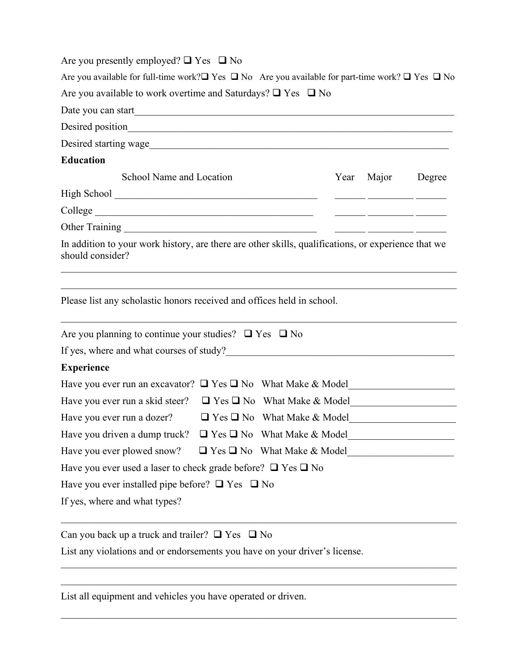| Are you presently employed? $\Box$ Yes $\Box$ No |  |  |  |  |  |
|--------------------------------------------------|--|--|--|--|--|
|--------------------------------------------------|--|--|--|--|--|

|                                                                        | Are you available for full-time work? $\square$ Yes $\square$ No Are you available for part-time work? $\square$ Yes $\square$ No |
|------------------------------------------------------------------------|-----------------------------------------------------------------------------------------------------------------------------------|
| Are you available to work overtime and Saturdays? $\Box$ Yes $\Box$ No |                                                                                                                                   |

| Date you can start |  |
|--------------------|--|
| Desired position   |  |

Desired starting wage\_\_\_\_\_\_\_\_\_\_\_\_\_\_\_\_\_\_\_\_\_\_\_\_\_\_\_\_\_\_\_\_\_\_\_\_\_\_\_\_\_\_\_\_\_\_\_\_\_\_\_\_\_\_\_\_\_\_\_

## **Education**

| School Name and Location | Year Major | Degree |
|--------------------------|------------|--------|
| High School              |            |        |
| College                  |            |        |
| Other Training           |            |        |

In addition to your work history, are there are other skills, qualifications, or experience that we should consider?

\_\_\_\_\_\_\_\_\_\_\_\_\_\_\_\_\_\_\_\_\_\_\_\_\_\_\_\_\_\_\_\_\_\_\_\_\_\_\_\_\_\_\_\_\_\_\_\_\_\_\_\_\_\_\_\_\_\_\_\_\_\_\_\_\_\_\_\_\_\_\_\_\_\_\_\_\_\_  $\mathcal{L}_\mathcal{L} = \mathcal{L}_\mathcal{L} = \mathcal{L}_\mathcal{L} = \mathcal{L}_\mathcal{L} = \mathcal{L}_\mathcal{L} = \mathcal{L}_\mathcal{L} = \mathcal{L}_\mathcal{L} = \mathcal{L}_\mathcal{L} = \mathcal{L}_\mathcal{L} = \mathcal{L}_\mathcal{L} = \mathcal{L}_\mathcal{L} = \mathcal{L}_\mathcal{L} = \mathcal{L}_\mathcal{L} = \mathcal{L}_\mathcal{L} = \mathcal{L}_\mathcal{L} = \mathcal{L}_\mathcal{L} = \mathcal{L}_\mathcal{L}$ 

\_\_\_\_\_\_\_\_\_\_\_\_\_\_\_\_\_\_\_\_\_\_\_\_\_\_\_\_\_\_\_\_\_\_\_\_\_\_\_\_\_\_\_\_\_\_\_\_\_\_\_\_\_\_\_\_\_\_\_\_\_\_\_\_\_\_\_\_\_\_\_\_\_\_\_\_\_\_

Please list any scholastic honors received and offices held in school.

| Are you planning to continue your studies? $\Box$ Yes $\Box$ No        |  |                                        |  |
|------------------------------------------------------------------------|--|----------------------------------------|--|
| If yes, where and what courses of study?                               |  |                                        |  |
| <b>Experience</b>                                                      |  |                                        |  |
| Have you ever run an excavator? $\Box$ Yes $\Box$ No What Make & Model |  |                                        |  |
| Have you ever run a skid steer? $\Box$ Yes $\Box$ No What Make & Model |  |                                        |  |
| Have you ever run a dozer?                                             |  | $\Box$ Yes $\Box$ No What Make & Model |  |
| Have you driven a dump truck? $\Box$ Yes $\Box$ No What Make & Model   |  |                                        |  |
| Have you ever plowed snow? $\Box$ Yes $\Box$ No What Make & Model      |  |                                        |  |
| Have you ever used a laser to check grade before? $\Box$ Yes $\Box$ No |  |                                        |  |
| Have you ever installed pipe before? $\Box$ Yes $\Box$ No              |  |                                        |  |
| If yes, where and what types?                                          |  |                                        |  |
|                                                                        |  |                                        |  |

\_\_\_\_\_\_\_\_\_\_\_\_\_\_\_\_\_\_\_\_\_\_\_\_\_\_\_\_\_\_\_\_\_\_\_\_\_\_\_\_\_\_\_\_\_\_\_\_\_\_\_\_\_\_\_\_\_\_\_\_\_\_\_\_\_\_\_\_\_\_\_\_\_\_\_\_\_\_ \_\_\_\_\_\_\_\_\_\_\_\_\_\_\_\_\_\_\_\_\_\_\_\_\_\_\_\_\_\_\_\_\_\_\_\_\_\_\_\_\_\_\_\_\_\_\_\_\_\_\_\_\_\_\_\_\_\_\_\_\_\_\_\_\_\_\_\_\_\_\_\_\_\_\_\_\_\_

 $\mathcal{L}_\mathcal{L} = \mathcal{L}_\mathcal{L} = \mathcal{L}_\mathcal{L} = \mathcal{L}_\mathcal{L} = \mathcal{L}_\mathcal{L} = \mathcal{L}_\mathcal{L} = \mathcal{L}_\mathcal{L} = \mathcal{L}_\mathcal{L} = \mathcal{L}_\mathcal{L} = \mathcal{L}_\mathcal{L} = \mathcal{L}_\mathcal{L} = \mathcal{L}_\mathcal{L} = \mathcal{L}_\mathcal{L} = \mathcal{L}_\mathcal{L} = \mathcal{L}_\mathcal{L} = \mathcal{L}_\mathcal{L} = \mathcal{L}_\mathcal{L}$ 

Can you back up a truck and trailer?  $\Box$  Yes  $\Box$  No

List any violations and or endorsements you have on your driver's license.

List all equipment and vehicles you have operated or driven.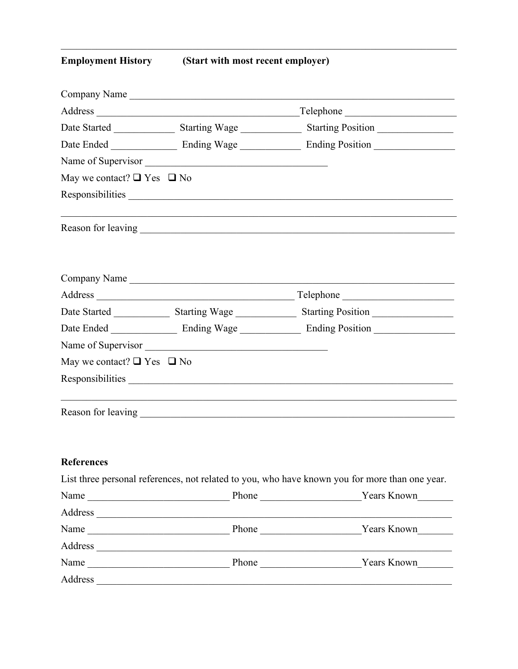| <b>Employment History</b> |  |
|---------------------------|--|
|---------------------------|--|

(Start with most recent employer)

|                                      | Company Name       |                                                                                                                                                                                                                                |
|--------------------------------------|--------------------|--------------------------------------------------------------------------------------------------------------------------------------------------------------------------------------------------------------------------------|
|                                      |                    |                                                                                                                                                                                                                                |
|                                      |                    |                                                                                                                                                                                                                                |
|                                      |                    |                                                                                                                                                                                                                                |
|                                      | Name of Supervisor |                                                                                                                                                                                                                                |
| May we contact? $\Box$ Yes $\Box$ No |                    |                                                                                                                                                                                                                                |
|                                      |                    | Responsibilities expression of the contract of the contract of the contract of the contract of the contract of the contract of the contract of the contract of the contract of the contract of the contract of the contract of |
|                                      |                    |                                                                                                                                                                                                                                |
|                                      | Company Name       |                                                                                                                                                                                                                                |
|                                      |                    |                                                                                                                                                                                                                                |
|                                      |                    | Date Started __________________ Starting Wage ___________________ Starting Position ________________                                                                                                                           |
|                                      |                    |                                                                                                                                                                                                                                |
|                                      | Name of Supervisor |                                                                                                                                                                                                                                |
| May we contact? $\Box$ Yes $\Box$ No |                    |                                                                                                                                                                                                                                |
|                                      |                    | Responsibilities                                                                                                                                                                                                               |
|                                      |                    |                                                                                                                                                                                                                                |
| References                           |                    |                                                                                                                                                                                                                                |
|                                      |                    | List three personal references, not related to you, who have known you for more than one year.                                                                                                                                 |
|                                      |                    |                                                                                                                                                                                                                                |
|                                      |                    |                                                                                                                                                                                                                                |
|                                      |                    |                                                                                                                                                                                                                                |
|                                      |                    |                                                                                                                                                                                                                                |
|                                      |                    |                                                                                                                                                                                                                                |

Address